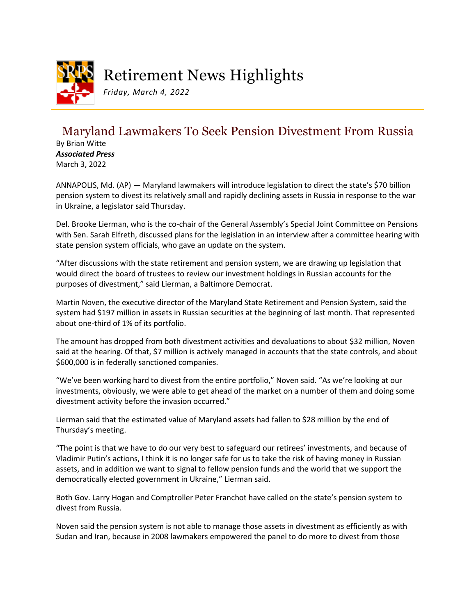

## Retirement News Highlights

*Friday, March 4, 2022*

## Maryland Lawmakers To Seek Pension Divestment From Russia

By Brian Witte *Associated Press* March 3, 2022

ANNAPOLIS, Md. (AP) — Maryland lawmakers will introduce legislation to direct the state's \$70 billion pension system to divest its relatively small and rapidly declining assets in Russia in response to the war in Ukraine, a legislator said Thursday.

Del. Brooke Lierman, who is the co-chair of the General Assembly's Special Joint Committee on Pensions with Sen. Sarah Elfreth, discussed plans for the legislation in an interview after a committee hearing with state pension system officials, who gave an update on the system.

"After discussions with the state retirement and pension system, we are drawing up legislation that would direct the board of trustees to review our investment holdings in Russian accounts for the purposes of divestment," said Lierman, a Baltimore Democrat.

Martin Noven, the executive director of the Maryland State Retirement and Pension System, said the system had \$197 million in assets in Russian securities at the beginning of last month. That represented about one-third of 1% of its portfolio.

The amount has dropped from both divestment activities and devaluations to about \$32 million, Noven said at the hearing. Of that, \$7 million is actively managed in accounts that the state controls, and about \$600,000 is in federally sanctioned companies.

"We've been working hard to divest from the entire portfolio," Noven said. "As we're looking at our investments, obviously, we were able to get ahead of the market on a number of them and doing some divestment activity before the invasion occurred."

Lierman said that the estimated value of Maryland assets had fallen to \$28 million by the end of Thursday's meeting.

"The point is that we have to do our very best to safeguard our retirees' investments, and because of Vladimir Putin's actions, I think it is no longer safe for us to take the risk of having money in Russian assets, and in addition we want to signal to fellow pension funds and the world that we support the democratically elected government in Ukraine," Lierman said.

Both Gov. Larry Hogan and Comptroller Peter Franchot have called on the state's pension system to divest from Russia.

Noven said the pension system is not able to manage those assets in divestment as efficiently as with Sudan and Iran, because in 2008 lawmakers empowered the panel to do more to divest from those